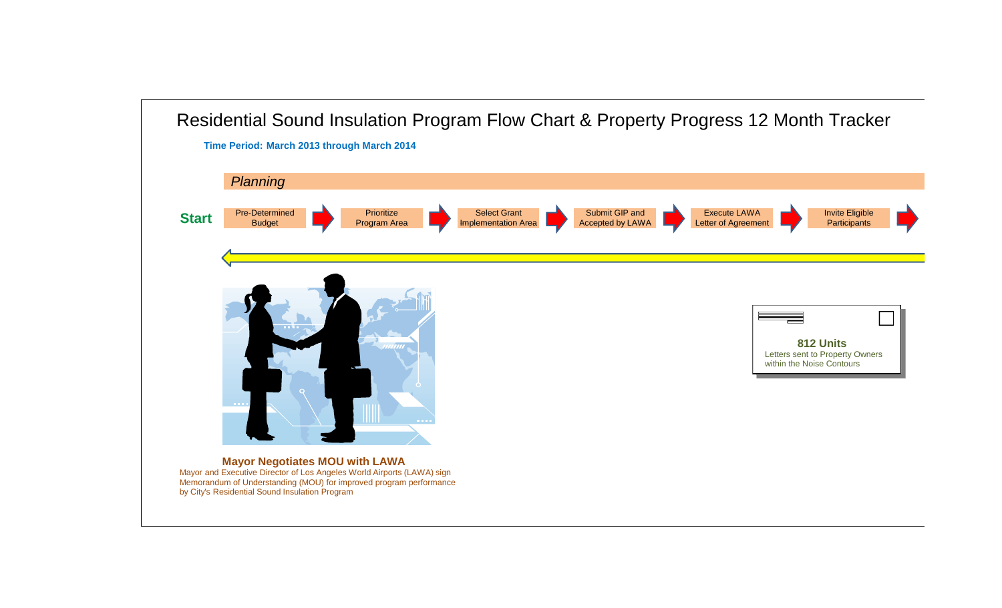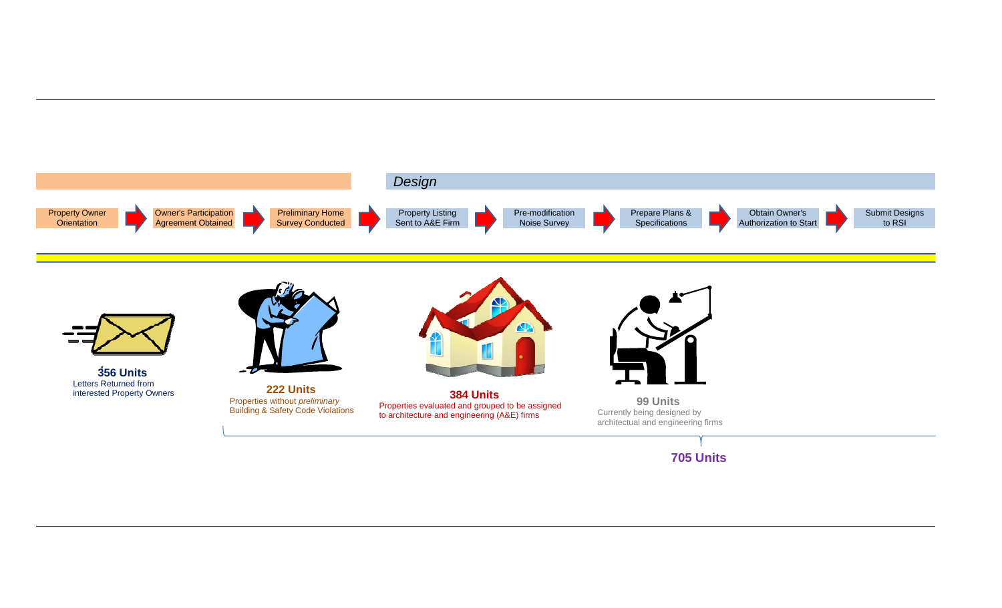

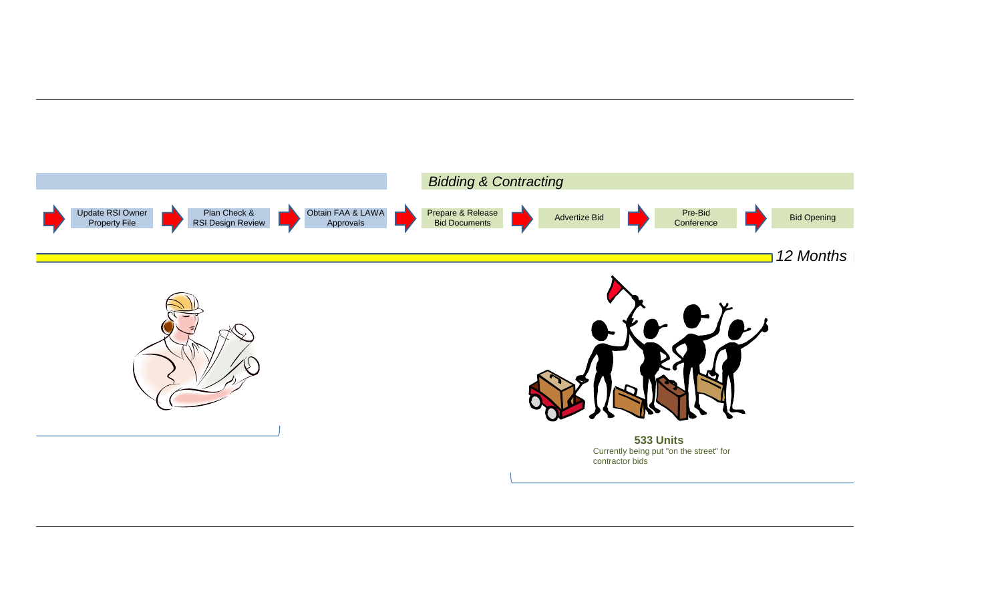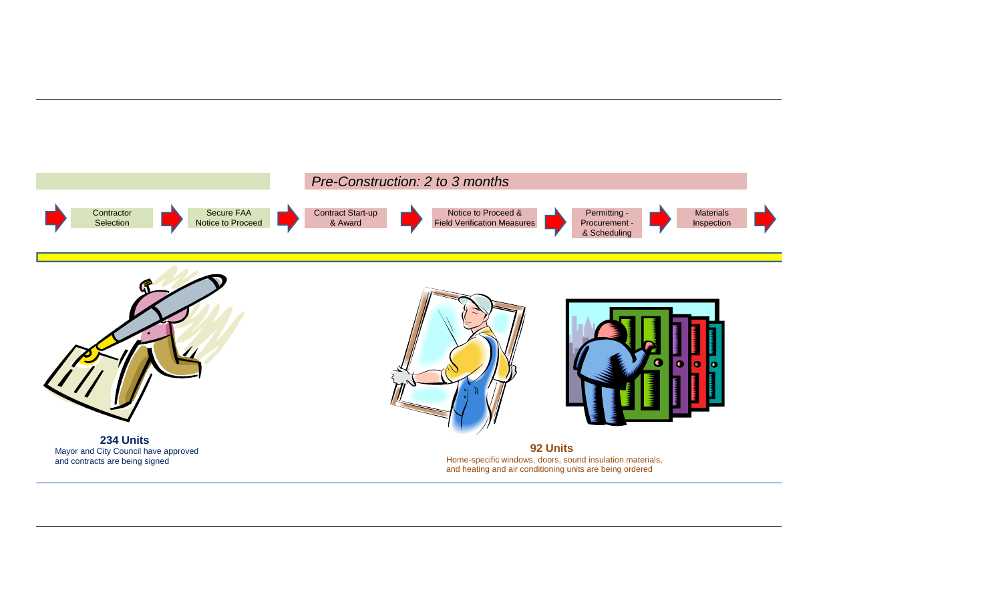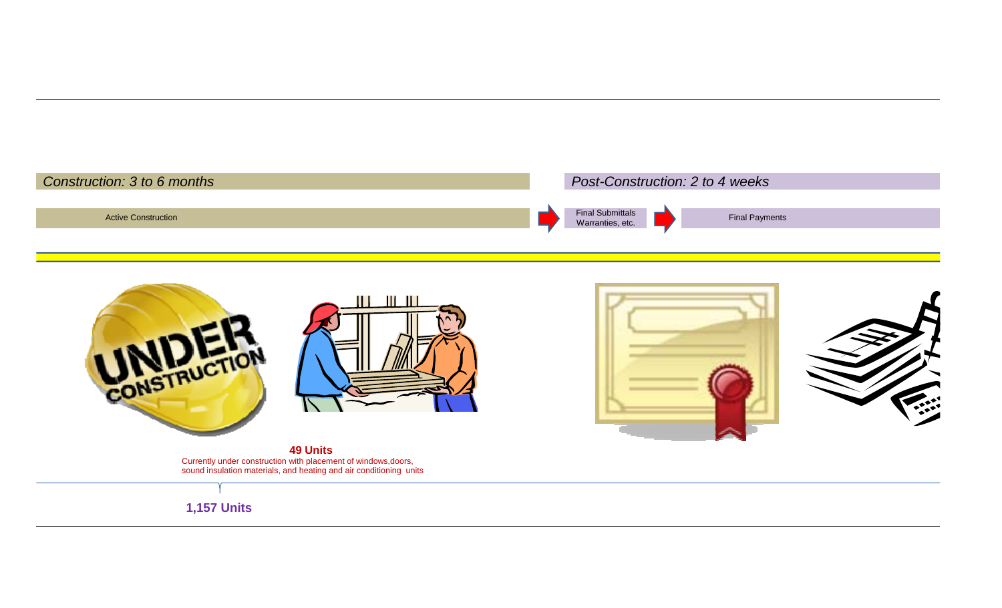



**1,157 Units**